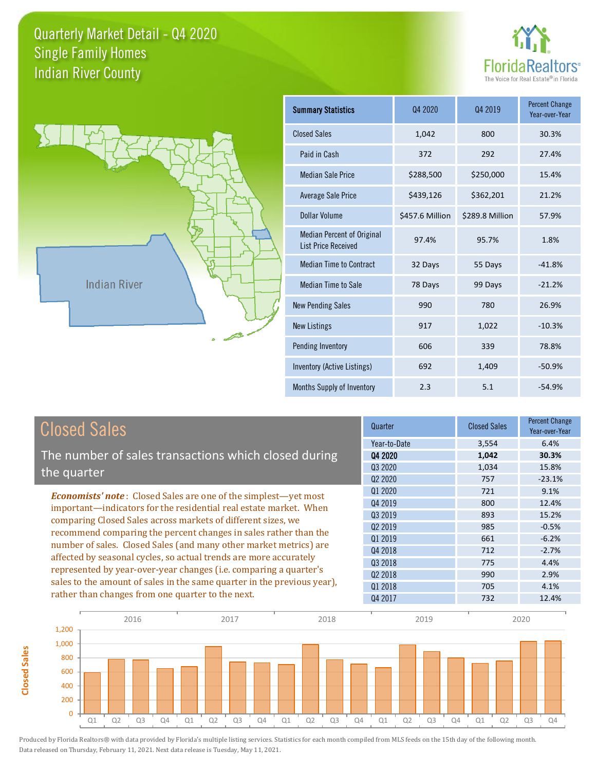



**Closed Sales**

**Closed Sales** 

| <b>Summary Statistics</b>                                       | 04 2020         | Q4 2019         | <b>Percent Change</b><br>Year-over-Year |
|-----------------------------------------------------------------|-----------------|-----------------|-----------------------------------------|
| <b>Closed Sales</b>                                             | 1,042           | 800             | 30.3%                                   |
| Paid in Cash                                                    | 372             | 292             | 27.4%                                   |
| <b>Median Sale Price</b>                                        | \$288,500       | \$250,000       | 15.4%                                   |
| <b>Average Sale Price</b>                                       | \$439,126       | \$362,201       | 21.2%                                   |
| Dollar Volume                                                   | \$457.6 Million | \$289.8 Million | 57.9%                                   |
| <b>Median Percent of Original</b><br><b>List Price Received</b> | 97.4%           | 95.7%           | 1.8%                                    |
| <b>Median Time to Contract</b>                                  | 32 Days         | 55 Days         | $-41.8%$                                |
| Median Time to Sale                                             | 78 Days         | 99 Days         | $-21.2%$                                |
| <b>New Pending Sales</b>                                        | 990             | 780             | 26.9%                                   |
| <b>New Listings</b>                                             | 917             | 1,022           | $-10.3%$                                |
| Pending Inventory                                               | 606             | 339             | 78.8%                                   |
| Inventory (Active Listings)                                     | 692             | 1,409           | $-50.9%$                                |
| Months Supply of Inventory                                      | 2.3             | 5.1             | $-54.9%$                                |

| <b>Closed Sales</b>                                                                                                                                                                                   | Quarter             | <b>Closed Sales</b> | <b>Percent Change</b><br>Year-over-Year |
|-------------------------------------------------------------------------------------------------------------------------------------------------------------------------------------------------------|---------------------|---------------------|-----------------------------------------|
|                                                                                                                                                                                                       | Year-to-Date        | 3,554               | 6.4%                                    |
| The number of sales transactions which closed during                                                                                                                                                  | 04 2020             | 1,042               | 30.3%                                   |
|                                                                                                                                                                                                       | Q3 2020             | 1,034               | 15.8%                                   |
| the quarter                                                                                                                                                                                           | Q <sub>2</sub> 2020 | 757                 | $-23.1%$                                |
| <b>Economists' note:</b> Closed Sales are one of the simplest—yet most                                                                                                                                | Q1 2020             | 721                 | 9.1%                                    |
| important—indicators for the residential real estate market. When                                                                                                                                     | Q4 2019             | 800                 | 12.4%                                   |
| comparing Closed Sales across markets of different sizes, we<br>recommend comparing the percent changes in sales rather than the<br>number of sales. Closed Sales (and many other market metrics) are | Q3 2019             | 893                 | 15.2%                                   |
|                                                                                                                                                                                                       | Q <sub>2</sub> 2019 | 985                 | $-0.5%$                                 |
|                                                                                                                                                                                                       | 01 2019             | 661                 | $-6.2%$                                 |
|                                                                                                                                                                                                       | Q4 2018             | 712                 | $-2.7%$                                 |
| affected by seasonal cycles, so actual trends are more accurately                                                                                                                                     | Q3 2018             | 775                 | 4.4%                                    |
| represented by year-over-year changes (i.e. comparing a quarter's                                                                                                                                     | Q <sub>2</sub> 2018 | 990                 | 2.9%                                    |
| sales to the amount of sales in the same quarter in the previous year),<br>rather than changes from one quarter to the next.                                                                          | Q1 2018             | 705                 | 4.1%                                    |
|                                                                                                                                                                                                       | Q4 2017             | 732                 | 12.4%                                   |

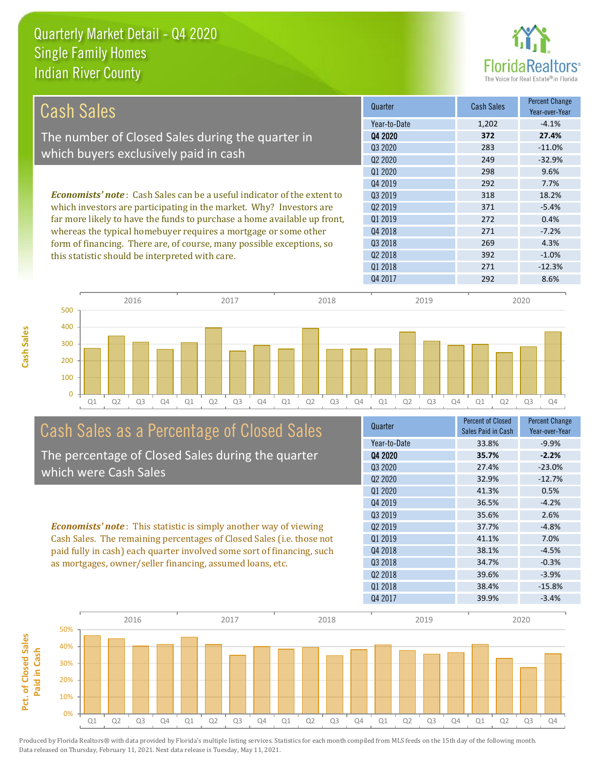**Cash Sales**



| <b>Cash Sales</b>                                                                                                                                                                           | Quarter                         | <b>Cash Sales</b> | <b>Percent Change</b><br>Year-over-Year |
|---------------------------------------------------------------------------------------------------------------------------------------------------------------------------------------------|---------------------------------|-------------------|-----------------------------------------|
|                                                                                                                                                                                             | Year-to-Date                    | 1,202             | $-4.1%$                                 |
| The number of Closed Sales during the quarter in                                                                                                                                            | Q4 2020                         | 372               | 27.4%                                   |
| which buyers exclusively paid in cash                                                                                                                                                       | Q3 2020                         | 283               | $-11.0%$                                |
|                                                                                                                                                                                             | Q <sub>2</sub> 20 <sub>20</sub> | 249               | $-32.9%$                                |
|                                                                                                                                                                                             | Q1 2020                         | 298               | 9.6%                                    |
|                                                                                                                                                                                             | 04 2019                         | 292               | 7.7%                                    |
| <b>Economists' note:</b> Cash Sales can be a useful indicator of the extent to<br>which investors are participating in the market. Why? Investors are                                       | Q3 2019                         | 318               | 18.2%                                   |
|                                                                                                                                                                                             | Q <sub>2</sub> 2019             | 371               | $-5.4%$                                 |
| far more likely to have the funds to purchase a home available up front,                                                                                                                    | 01 2019                         | 272               | 0.4%                                    |
| whereas the typical homebuyer requires a mortgage or some other<br>form of financing. There are, of course, many possible exceptions, so<br>this statistic should be interpreted with care. | Q4 2018                         | 271               | $-7.2%$                                 |
|                                                                                                                                                                                             | Q3 2018                         | 269               | 4.3%                                    |
|                                                                                                                                                                                             | 02 2018                         | 392               | $-1.0%$                                 |
|                                                                                                                                                                                             | 01 2018                         | 271               | $-12.3%$                                |
|                                                                                                                                                                                             | Q4 2017                         | 292               | 8.6%                                    |



## Cash Sales as a Percentage of Closed Sales

The percentage of Closed Sales during the quarter which were Cash Sales

*Economists' note* : This statistic is simply another way of viewing Cash Sales. The remaining percentages of Closed Sales (i.e. those not paid fully in cash) each quarter involved some sort of financing, such as mortgages, owner/seller financing, assumed loans, etc.

| Quarter                         | <b>Percent of Closed</b><br>Sales Paid in Cash | <b>Percent Change</b><br>Year-over-Year |
|---------------------------------|------------------------------------------------|-----------------------------------------|
| Year-to-Date                    | 33.8%                                          | $-9.9%$                                 |
| Q4 2020                         | 35.7%                                          | $-2.2%$                                 |
| 03 20 20                        | 27.4%                                          | $-23.0%$                                |
| Q <sub>2</sub> 20 <sub>20</sub> | 32.9%                                          | $-12.7%$                                |
| 01 2020                         | 41.3%                                          | 0.5%                                    |
| Q4 2019                         | 36.5%                                          | $-4.2%$                                 |
| Q3 2019                         | 35.6%                                          | 2.6%                                    |
| Q <sub>2</sub> 2019             | 37.7%                                          | $-4.8%$                                 |
| 01 2019                         | 41.1%                                          | 7.0%                                    |
| Q4 2018                         | 38.1%                                          | $-4.5%$                                 |
| 03 2018                         | 34.7%                                          | $-0.3%$                                 |
| Q <sub>2</sub> 2018             | 39.6%                                          | $-3.9%$                                 |
| Q1 2018                         | 38.4%                                          | $-15.8%$                                |
| Q4 2017                         | 39.9%                                          | $-3.4%$                                 |
|                                 |                                                |                                         |

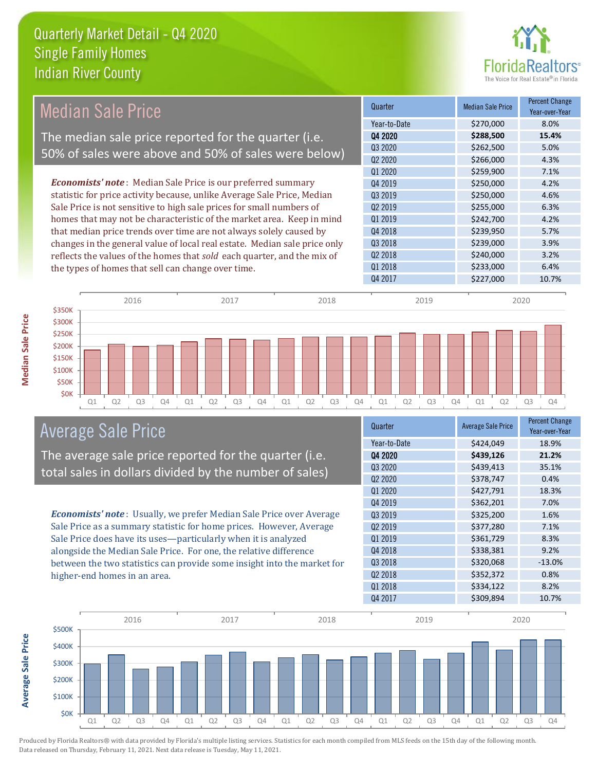

#### Quarter Median Sale Price Percent Change Year-over-Year Q4 2020 **\$288,500 15.4%** Year-to-Date \$270,000 8.0% Q1 2019 \$242,700 4.2% Q3 2020 \$262,500 5.0% Q2 2020 \$266,000 4.3% Q3 2019 \$250,000 4.6% Q2 2019 \$255,000 6.3% Q1 2020 **\$259,900** \$259,900 7.1% Q4 2019 **\$250,000** \$250,000 4.2% Q4 2018 **\$239,950** \$239,950 5.7% Q3 2018 \$239,000 3.9% Q2 2018 \$240,000 3.2% Q1 2018 **\$233,000** \$233,000 6.4% Q4 2017 \$227,000 10.7% *Economists' note* : Median Sale Price is our preferred summary statistic for price activity because, unlike Average Sale Price, Median Sale Price is not sensitive to high sale prices for small numbers of homes that may not be characteristic of the market area. Keep in mind that median price trends over time are not always solely caused by changes in the general value of local real estate. Median sale price only reflects the values of the homes that *sold* each quarter, and the mix of the types of homes that sell can change over time. 2016 2017 2018 2019 2020 Median Sale Price The median sale price reported for the quarter (i.e. 50% of sales were above and 50% of sales were below)



#### Average Sale Price

The average sale price reported for the quarter (i.e. total sales in dollars divided by the number of sales)

*Economists' note* : Usually, we prefer Median Sale Price over Average Sale Price as a summary statistic for home prices. However, Average Sale Price does have its uses—particularly when it is analyzed alongside the Median Sale Price. For one, the relative difference between the two statistics can provide some insight into the market for higher-end homes in an area.

| Quarter                         | <b>Average Sale Price</b> | <b>Percent Change</b><br>Year-over-Year |
|---------------------------------|---------------------------|-----------------------------------------|
| Year-to-Date                    | \$424,049                 | 18.9%                                   |
| Q4 2020                         | \$439,126                 | 21.2%                                   |
| Q3 2020                         | \$439,413                 | 35.1%                                   |
| Q <sub>2</sub> 20 <sub>20</sub> | \$378,747                 | 0.4%                                    |
| Q1 2020                         | \$427,791                 | 18.3%                                   |
| Q4 2019                         | \$362,201                 | 7.0%                                    |
| Q3 2019                         | \$325,200                 | 1.6%                                    |
| Q <sub>2</sub> 2019             | \$377,280                 | 7.1%                                    |
| 01 2019                         | \$361,729                 | 8.3%                                    |
| Q4 2018                         | \$338,381                 | 9.2%                                    |
| Q3 2018                         | \$320,068                 | $-13.0%$                                |
| Q <sub>2</sub> 2018             | \$352,372                 | 0.8%                                    |
| Q1 2018                         | \$334,122                 | 8.2%                                    |
| Q4 2017                         | \$309,894                 | 10.7%                                   |



Produced by Florida Realtors® with data provided by Florida's multiple listing services. Statistics for each month compiled from MLS feeds on the 15th day of the following month. Data released on Thursday, February 11, 2021. Next data release is Tuesday, May 11, 2021.

\$350K

**Average Sale Price**

**Average Sale Price**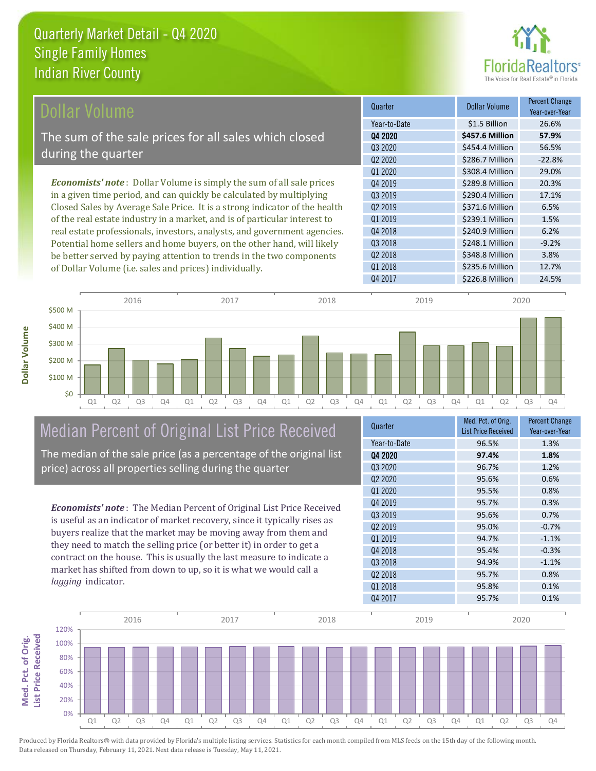

| Dollar Volume                                                               | Quarter             | <b>Dollar Volume</b> | <b>Percent Change</b><br>Year-over-Year |
|-----------------------------------------------------------------------------|---------------------|----------------------|-----------------------------------------|
|                                                                             | Year-to-Date        | \$1.5 Billion        | 26.6%                                   |
| The sum of the sale prices for all sales which closed                       | Q4 2020             | \$457.6 Million      | 57.9%                                   |
|                                                                             | Q3 2020             | \$454.4 Million      | 56.5%                                   |
| during the quarter                                                          | Q <sub>2</sub> 2020 | \$286.7 Million      | $-22.8%$                                |
|                                                                             | 01 2020             | \$308.4 Million      | 29.0%                                   |
| <b>Economists' note:</b> Dollar Volume is simply the sum of all sale prices | 04 2019             | \$289.8 Million      | 20.3%                                   |
| in a given time period, and can quickly be calculated by multiplying        | 03 2019             | \$290.4 Million      | 17.1%                                   |
| Closed Sales by Average Sale Price. It is a strong indicator of the health  | Q <sub>2</sub> 2019 | \$371.6 Million      | 6.5%                                    |
| of the real estate industry in a market, and is of particular interest to   | 01 2019             | \$239.1 Million      | 1.5%                                    |
| real estate professionals, investors, analysts, and government agencies.    | Q4 2018             | \$240.9 Million      | 6.2%                                    |
| Potential home sellers and home buyers, on the other hand, will likely      | Q3 2018             | \$248.1 Million      | $-9.2%$                                 |
| be better served by paying attention to trends in the two components        | 02 2018             | \$348.8 Million      | 3.8%                                    |

Q1 Q2 Q3 Q4 Q1 Q2 Q3 Q4 Q1 Q2 Q3 Q4 Q1 Q2 Q3 Q4 Q1 Q2 Q3 Q4 \$0 \$100 M \$200 M \$300 M \$400 M \$500 M 2016 2017 2018 2019 2020

# Median Percent of Original List Price Received

of Dollar Volume (i.e. sales and prices) individually.

The median of the sale price (as a percentage of the original list price) across all properties selling during the quarter

*Economists' note* : The Median Percent of Original List Price Received is useful as an indicator of market recovery, since it typically rises as buyers realize that the market may be moving away from them and they need to match the selling price (or better it) in order to get a contract on the house. This is usually the last measure to indicate a market has shifted from down to up, so it is what we would call a *lagging* indicator.

| Quarter             | Med. Pct. of Orig.<br><b>List Price Received</b> | <b>Percent Change</b><br>Year-over-Year |
|---------------------|--------------------------------------------------|-----------------------------------------|
| Year-to-Date        | 96.5%                                            | 1.3%                                    |
| 04 2020             | 97.4%                                            | 1.8%                                    |
| Q3 2020             | 96.7%                                            | 1.2%                                    |
| Q <sub>2</sub> 2020 | 95.6%                                            | 0.6%                                    |
| 01 2020             | 95.5%                                            | 0.8%                                    |
| Q4 2019             | 95.7%                                            | 0.3%                                    |
| 03 2019             | 95.6%                                            | 0.7%                                    |
| Q <sub>2</sub> 2019 | 95.0%                                            | $-0.7%$                                 |
| Q1 2019             | 94.7%                                            | $-1.1%$                                 |
| Q4 2018             | 95.4%                                            | $-0.3%$                                 |
| Q3 2018             | 94.9%                                            | $-1.1%$                                 |
| Q <sub>2</sub> 2018 | 95.7%                                            | 0.8%                                    |
| Q1 2018             | 95.8%                                            | 0.1%                                    |
| Q4 2017             | 95.7%                                            | 0.1%                                    |

Q4 2017 \$226.8 Million 24.5%

Q1 2018 **\$235.6 Million** 12.7%



**Dollar Volume**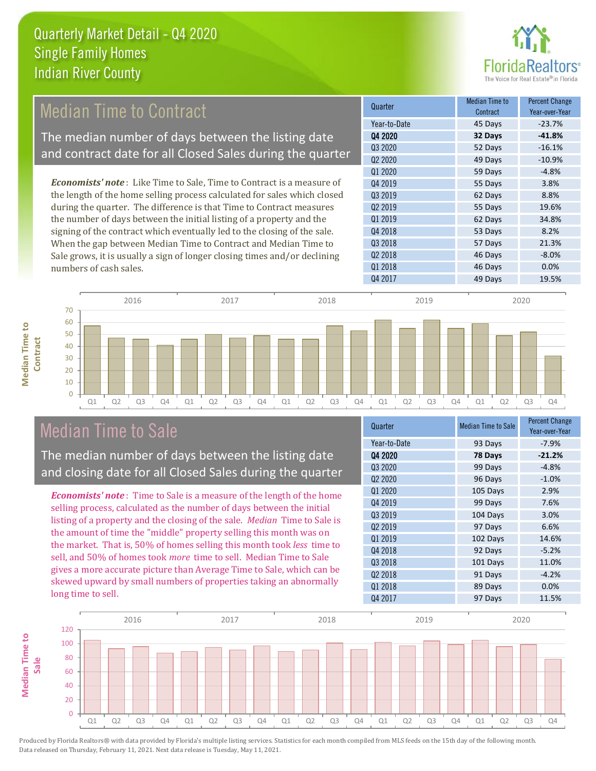

### Median Time to Contract

The median number of days between the listing date and contract date for all Closed Sales during the quarter

*Economists' note* : Like Time to Sale, Time to Contract is a measure of the length of the home selling process calculated for sales which closed during the quarter. The difference is that Time to Contract measures the number of days between the initial listing of a property and the signing of the contract which eventually led to the closing of the sale. When the gap between Median Time to Contract and Median Time to Sale grows, it is usually a sign of longer closing times and/or declining numbers of cash sales.

| Quarter                         | Median Time to<br>Contract | <b>Percent Change</b><br>Year-over-Year |
|---------------------------------|----------------------------|-----------------------------------------|
| Year-to-Date                    | 45 Days                    | $-23.7%$                                |
| Q4 2020                         | 32 Days                    | $-41.8%$                                |
| Q3 2020                         | 52 Days                    | $-16.1%$                                |
| Q <sub>2</sub> 20 <sub>20</sub> | 49 Days                    | $-10.9%$                                |
| Q1 2020                         | 59 Days                    | $-4.8%$                                 |
| Q4 2019                         | 55 Days                    | 3.8%                                    |
| Q3 2019                         | 62 Days                    | 8.8%                                    |
| Q <sub>2</sub> 2019             | 55 Days                    | 19.6%                                   |
| Q1 2019                         | 62 Days                    | 34.8%                                   |
| Q4 2018                         | 53 Days                    | 8.2%                                    |
| Q3 2018                         | 57 Days                    | 21.3%                                   |
| Q <sub>2</sub> 2018             | 46 Days                    | $-8.0%$                                 |
| Q1 2018                         | 46 Days                    | 0.0%                                    |
| Q4 2017                         | 49 Days                    | 19.5%                                   |
|                                 |                            |                                         |



### Median Time to Sale

**Median Time to** 

**Median Time to** 

The median number of days between the listing date and closing date for all Closed Sales during the quarter

*Economists' note* : Time to Sale is a measure of the length of the home selling process, calculated as the number of days between the initial listing of a property and the closing of the sale. *Median* Time to Sale is the amount of time the "middle" property selling this month was on the market. That is, 50% of homes selling this month took *less* time to sell, and 50% of homes took *more* time to sell. Median Time to Sale gives a more accurate picture than Average Time to Sale, which can be skewed upward by small numbers of properties taking an abnormally long time to sell.

| Quarter             | <b>Median Time to Sale</b> | <b>Percent Change</b><br>Year-over-Year |
|---------------------|----------------------------|-----------------------------------------|
| Year-to-Date        | 93 Days                    | $-7.9%$                                 |
| Q4 2020             | 78 Days                    | $-21.2%$                                |
| Q3 2020             | 99 Days                    | $-4.8%$                                 |
| Q2 2020             | 96 Days                    | $-1.0%$                                 |
| Q1 2020             | 105 Days                   | 2.9%                                    |
| Q4 2019             | 99 Days                    | 7.6%                                    |
| Q3 2019             | 104 Days                   | 3.0%                                    |
| Q <sub>2</sub> 2019 | 97 Days                    | 6.6%                                    |
| 01 2019             | 102 Days                   | 14.6%                                   |
| Q4 2018             | 92 Days                    | $-5.2%$                                 |
| Q3 2018             | 101 Days                   | 11.0%                                   |
| Q <sub>2</sub> 2018 | 91 Days                    | $-4.2%$                                 |
| Q1 2018             | 89 Days                    | 0.0%                                    |
| Q4 2017             | 97 Days                    | 11.5%                                   |

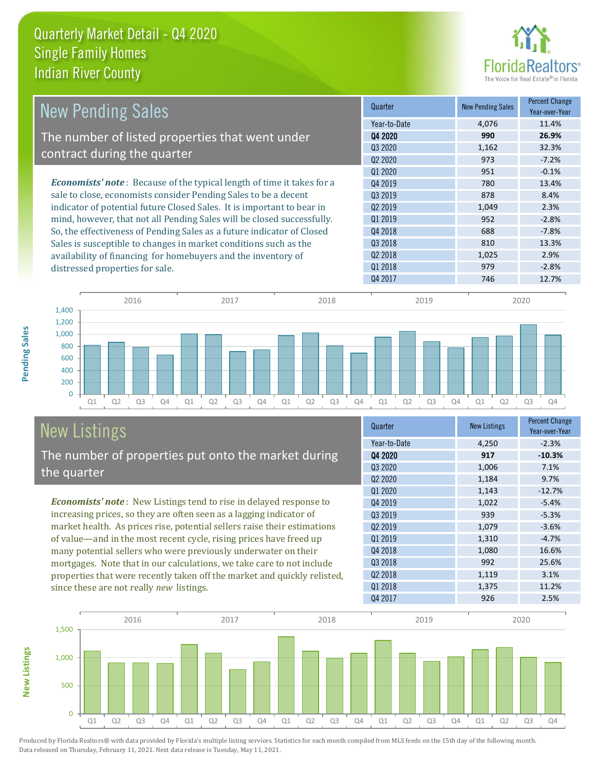

|                                                                               | Quarter                         | <b>New Pending Sales</b> | <b>Percent Change</b> |
|-------------------------------------------------------------------------------|---------------------------------|--------------------------|-----------------------|
| <b>New Pending Sales</b>                                                      |                                 |                          | Year-over-Year        |
|                                                                               | Year-to-Date                    | 4.076                    | 11.4%                 |
| The number of listed properties that went under                               | Q4 2020                         | 990                      | 26.9%                 |
|                                                                               | 03 20 20                        | 1,162                    | 32.3%                 |
| contract during the quarter                                                   | Q <sub>2</sub> 20 <sub>20</sub> | 973                      | $-7.2%$               |
|                                                                               | Q1 2020                         | 951                      | $-0.1%$               |
| <b>Economists' note:</b> Because of the typical length of time it takes for a | 04 2019                         | 780                      | 13.4%                 |
| sale to close, economists consider Pending Sales to be a decent               | Q3 2019                         | 878                      | 8.4%                  |
| indicator of potential future Closed Sales. It is important to bear in        | Q <sub>2</sub> 2019             | 1,049                    | 2.3%                  |
| mind, however, that not all Pending Sales will be closed successfully.        | 01 2019                         | 952                      | $-2.8%$               |
| So, the effectiveness of Pending Sales as a future indicator of Closed        | Q4 2018                         | 688                      | $-7.8%$               |
| Sales is susceptible to changes in market conditions such as the              | Q3 2018                         | 810                      | 13.3%                 |
| availability of financing for homebuyers and the inventory of                 | 02 2018                         | 1,025                    | 2.9%                  |
| distressed properties for sale.                                               | 01 2018                         | 979                      | $-2.8%$               |
|                                                                               | Q4 2017                         | 746                      | 12.7%                 |



### New Listings The number of properties put onto the market during the quarter

*Economists' note* : New Listings tend to rise in delayed response to increasing prices, so they are often seen as a lagging indicator of market health. As prices rise, potential sellers raise their estimations of value—and in the most recent cycle, rising prices have freed up many potential sellers who were previously underwater on their mortgages. Note that in our calculations, we take care to not include properties that were recently taken off the market and quickly relisted, since these are not really *new* listings.

| Quarter                         | <b>New Listings</b> | <b>Percent Change</b><br>Year-over-Year |
|---------------------------------|---------------------|-----------------------------------------|
| Year-to-Date                    | 4,250               | $-2.3%$                                 |
| Q4 2020                         | 917                 | $-10.3%$                                |
| Q3 2020                         | 1,006               | 7.1%                                    |
| Q <sub>2</sub> 20 <sub>20</sub> | 1,184               | 9.7%                                    |
| Q1 2020                         | 1,143               | $-12.7%$                                |
| Q4 2019                         | 1,022               | $-5.4%$                                 |
| Q3 2019                         | 939                 | $-5.3%$                                 |
| 02 2019                         | 1,079               | $-3.6%$                                 |
| 01 2019                         | 1,310               | $-4.7%$                                 |
| Q4 2018                         | 1,080               | 16.6%                                   |
| Q3 2018                         | 992                 | 25.6%                                   |
| Q <sub>2</sub> 2018             | 1,119               | 3.1%                                    |
| Q1 2018                         | 1,375               | 11.2%                                   |
| Q4 2017                         | 926                 | 2.5%                                    |



Produced by Florida Realtors® with data provided by Florida's multiple listing services. Statistics for each month compiled from MLS feeds on the 15th day of the following month. Data released on Thursday, February 11, 2021. Next data release is Tuesday, May 11, 2021.

**New Listings**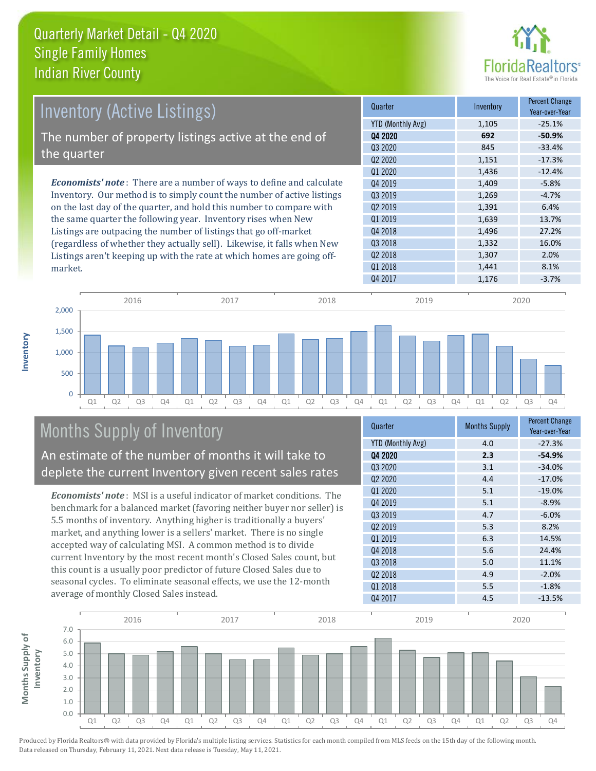

| <b>Inventory (Active Listings)</b>                                          | Quarter                         | Inventory | <b>Percent Change</b><br>Year-over-Year |
|-----------------------------------------------------------------------------|---------------------------------|-----------|-----------------------------------------|
|                                                                             | YTD (Monthly Avg)               | 1,105     | $-25.1%$                                |
| The number of property listings active at the end of                        | 04 2020                         | 692       | $-50.9%$                                |
|                                                                             | Q3 2020                         | 845       | $-33.4%$                                |
| the quarter                                                                 | Q <sub>2</sub> 20 <sub>20</sub> | 1,151     | $-17.3%$                                |
|                                                                             | Q1 2020                         | 1,436     | $-12.4%$                                |
| <b>Economists' note:</b> There are a number of ways to define and calculate | Q4 2019                         | 1,409     | $-5.8%$                                 |
| Inventory. Our method is to simply count the number of active listings      | 03 2019                         | 1,269     | $-4.7%$                                 |
| on the last day of the quarter, and hold this number to compare with        | Q <sub>2</sub> 2019             | 1,391     | 6.4%                                    |
| the same quarter the following year. Inventory rises when New               | Q1 2019                         | 1,639     | 13.7%                                   |
| Listings are outpacing the number of listings that go off-market            | Q4 2018                         | 1,496     | 27.2%                                   |
| (regardless of whether they actually sell). Likewise, it falls when New     | Q3 2018                         | 1,332     | 16.0%                                   |
| Listings aren't keeping up with the rate at which homes are going off-      | Q <sub>2</sub> 2018             | 1,307     | 2.0%                                    |
| market.                                                                     | 01 2018                         | 1,441     | 8.1%                                    |



## Months Supply of Inventory

An estimate of the number of months it will take to deplete the current Inventory given recent sales rates

*Economists' note* : MSI is a useful indicator of market conditions. The benchmark for a balanced market (favoring neither buyer nor seller) is 5.5 months of inventory. Anything higher is traditionally a buyers' market, and anything lower is a sellers' market. There is no single accepted way of calculating MSI. A common method is to divide current Inventory by the most recent month's Closed Sales count, but this count is a usually poor predictor of future Closed Sales due to seasonal cycles. To eliminate seasonal effects, we use the 12-month average of monthly Closed Sales instead.

| Quarter                  | <b>Months Supply</b> | <b>Percent Change</b><br>Year-over-Year |
|--------------------------|----------------------|-----------------------------------------|
| <b>YTD (Monthly Avg)</b> | 4.0                  | $-27.3%$                                |
| 04 2020                  | 2.3                  | $-54.9%$                                |
| Q3 2020                  | 3.1                  | $-34.0%$                                |
| Q <sub>2</sub> 2020      | 4.4                  | $-17.0%$                                |
| 01 2020                  | 5.1                  | $-19.0%$                                |
| Q4 2019                  | 5.1                  | $-8.9%$                                 |
| Q3 2019                  | 4.7                  | $-6.0%$                                 |
| Q <sub>2</sub> 2019      | 5.3                  | 8.2%                                    |
| Q1 2019                  | 6.3                  | 14.5%                                   |
| Q4 2018                  | 5.6                  | 24.4%                                   |
| Q3 2018                  | 5.0                  | 11.1%                                   |
| Q2 2018                  | 4.9                  | $-2.0%$                                 |
| Q1 2018                  | 5.5                  | $-1.8%$                                 |
| 04 2017                  | 4.5                  | $-13.5%$                                |

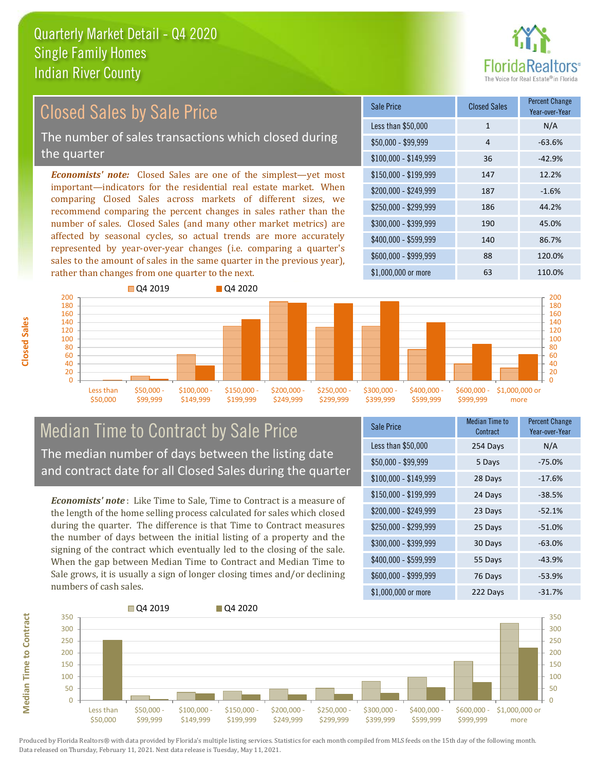

#### *Economists' note:* Closed Sales are one of the simplest—yet most important—indicators for the residential real estate market. When comparing Closed Sales across markets of different sizes, we recommend comparing the percent changes in sales rather than the number of sales. Closed Sales (and many other market metrics) are affected by seasonal cycles, so actual trends are more accurately represented by year-over-year changes (i.e. comparing a quarter's sales to the amount of sales in the same quarter in the previous year), rather than changes from one quarter to the next. \$1,000,000 or more 63 110.0% \$250,000 - \$299,999 186 44.2% \$300,000 - \$399,999 190 45.0% \$400,000 - \$599,999 140 86.7% \$600,000 - \$999,999 88 120.0% \$150,000 - \$199,999 147 12.2% \$200,000 - \$249,999 187 -1.6% \$100,000 - \$149,999 36 -42.9% Sale Price Closed Sales Percent Change Year-over-Year Less than \$50,000 1 1 N/A  $$50.000 - $99.999$  4 -63.6% 140 160 180 200 **O** 04 2019 **Q4 2020** 140 160 180 200 Closed Sales by Sale Price The number of sales transactions which closed during the quarter

#### $\Omega$ 20 40 60 80 100 120 Less than \$50,000 \$50,000 - \$99,999 \$100,000 \$149,999 \$150,000 - \$199,999 \$200,000 - \$249,999 \$250,000 - \$299,999 \$300,000 - \$399,999 \$400,000 - \$599,999 \$600,000 - \$999,999 \$1,000,000 or more

#### Median Time to Contract by Sale Price The median number of days between the listing date and contract date for all Closed Sales during the quarter

*Economists' note* : Like Time to Sale, Time to Contract is a measure of the length of the home selling process calculated for sales which closed during the quarter. The difference is that Time to Contract measures the number of days between the initial listing of a property and the signing of the contract which eventually led to the closing of the sale. When the gap between Median Time to Contract and Median Time to Sale grows, it is usually a sign of longer closing times and/or declining numbers of cash sales.

| <b>Sale Price</b>     | <b>Median Time to</b><br>Contract | <b>Percent Change</b><br>Year-over-Year |
|-----------------------|-----------------------------------|-----------------------------------------|
| Less than \$50,000    | 254 Days                          | N/A                                     |
| $$50,000 - $99,999$   | 5 Days                            | $-75.0%$                                |
| $$100,000 - $149,999$ | 28 Days                           | $-17.6%$                                |
| $$150,000 - $199,999$ | 24 Days                           | $-38.5%$                                |
| \$200,000 - \$249,999 | 23 Days                           | $-52.1%$                                |
| \$250,000 - \$299,999 | 25 Days                           | $-51.0%$                                |
| \$300,000 - \$399,999 | 30 Days                           | $-63.0%$                                |
| \$400,000 - \$599,999 | 55 Days                           | $-43.9%$                                |
| \$600,000 - \$999,999 | 76 Days                           | $-53.9%$                                |
| \$1,000,000 or more   | 222 Days                          | $-31.7%$                                |

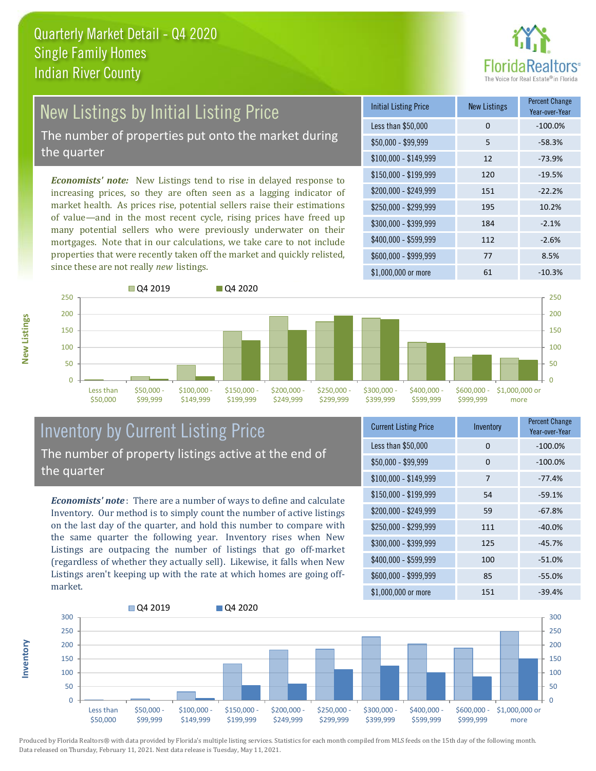

## New Listings by Initial Listing Price

The number of properties put onto the market during the quarter

*Economists' note:* New Listings tend to rise in delayed response to increasing prices, so they are often seen as a lagging indicator of market health. As prices rise, potential sellers raise their estimations of value—and in the most recent cycle, rising prices have freed up many potential sellers who were previously underwater on their mortgages. Note that in our calculations, we take care to not include properties that were recently taken off the market and quickly relisted, since these are not really *new* listings.





#### Inventory by Current Listing Price The number of property listings active at the end of the quarter

*Economists' note* : There are a number of ways to define and calculate Inventory. Our method is to simply count the number of active listings on the last day of the quarter, and hold this number to compare with the same quarter the following year. Inventory rises when New Listings are outpacing the number of listings that go off-market (regardless of whether they actually sell). Likewise, it falls when New Listings aren't keeping up with the rate at which homes are going offmarket.

| <b>Current Listing Price</b> | Inventory | <b>Percent Change</b><br>Year-over-Year |
|------------------------------|-----------|-----------------------------------------|
| Less than \$50,000           | 0         | $-100.0%$                               |
| $$50,000 - $99,999$          | 0         | $-100.0%$                               |
| $$100,000 - $149,999$        | 7         | $-77.4%$                                |
| \$150,000 - \$199,999        | 54        | $-59.1%$                                |
| \$200,000 - \$249,999        | 59        | $-67.8%$                                |
| \$250,000 - \$299,999        | 111       | $-40.0%$                                |
| \$300,000 - \$399,999        | 125       | $-45.7%$                                |
| \$400,000 - \$599,999        | 100       | $-51.0%$                                |
| \$600,000 - \$999,999        | 85        | $-55.0%$                                |
| \$1,000,000 or more          | 151       | $-39.4%$                                |



Produced by Florida Realtors® with data provided by Florida's multiple listing services. Statistics for each month compiled from MLS feeds on the 15th day of the following month. Data released on Thursday, February 11, 2021. Next data release is Tuesday, May 11, 2021.

**Inventory**